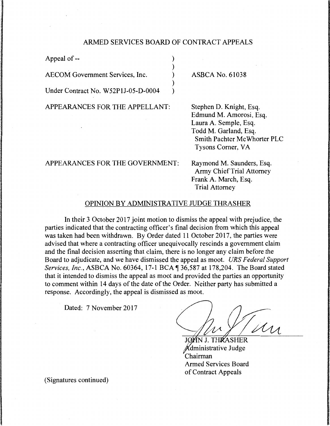## ARMED SERVICES BOARD OF CONTRACT APPEALS

) ) ) ) )

Appeal of--

AECOM Government Services, Inc.

Under Contract No. W52P1J-05-D-0004

APPEARANCES FOR THE APPELLANT:

ASBCA No. 61038

Stephen D. Knight, Esq. Edmund M. Amorosi, Esq. Laura A. Semple, Esq. Todd M. Garland, Esq. Smith Pachter Mc Whorter PLC Tysons Comer, VA

APPEARANCES FOR THE GOVERNMENT:

Raymond M. Saunders, Esq. Army Chief Trial Attorney Frank A. March, Esq. Trial Attorney

## OPINION BY ADMINISTRATIVE JUDGE THRASHER

In their 3 October 2017 joint motion to dismiss the appeal with prejudice, the parties indicated that the contracting officer's final decision from which this appeal was taken had been withdrawn. By Order dated 11 October 2017, the parties were advised that where a contracting officer unequivocally rescinds a government claim and the final decision asserting that claim, there is no longer any claim before the Board to adjudicate, and we have dismissed the appeal as moot. *URS Federal Support Services, Inc., ASBCA No. 60364, 17-1 BCA* 136,587 at 178,204. The Board stated that it intended to dismiss the appeal as moot and provided the parties an opportunity to comment within 14 days of the date of the Order. Neither party has submitted a response. Accordingly, the appeal is dismissed as moot.

Dated: 7 November 2017

.<br>My

**SHER** dministrative Judge Chairman Armed Services Board of Contract Appeals

(Signatures continued)